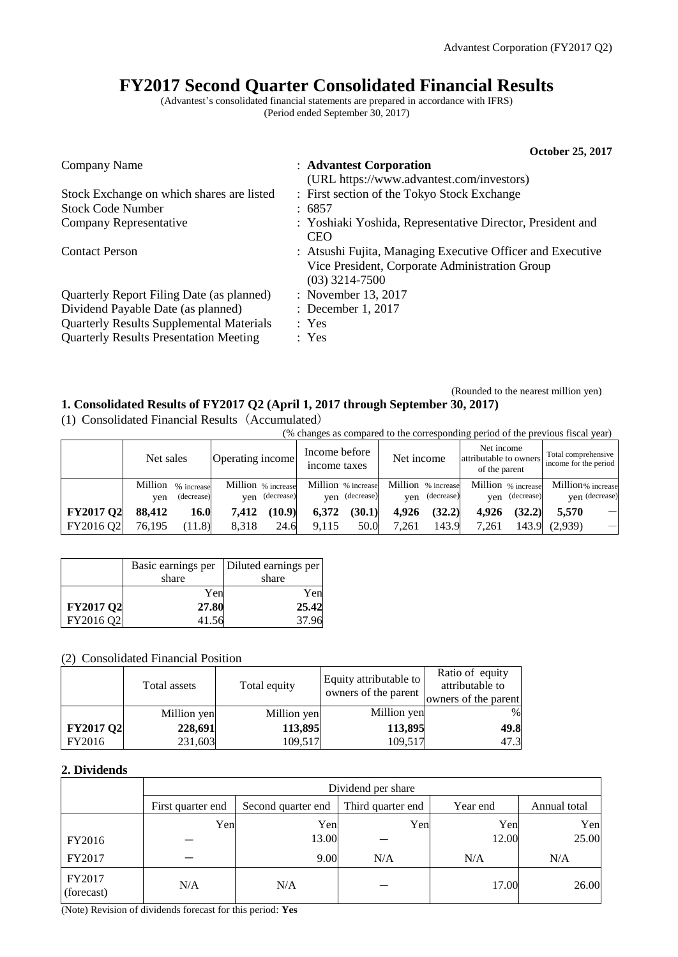# **FY2017 Second Quarter Consolidated Financial Results**

(Advantest's consolidated financial statements are prepared in accordance with IFRS) (Period ended September 30, 2017)

|                                                 | October 25, 2017                                                                                                                 |
|-------------------------------------------------|----------------------------------------------------------------------------------------------------------------------------------|
| Company Name                                    | : Advantest Corporation                                                                                                          |
|                                                 | (URL https://www.advantest.com/investors)                                                                                        |
| Stock Exchange on which shares are listed       | : First section of the Tokyo Stock Exchange                                                                                      |
| <b>Stock Code Number</b>                        | : 6857                                                                                                                           |
| Company Representative                          | : Yoshiaki Yoshida, Representative Director, President and<br><b>CEO</b>                                                         |
| <b>Contact Person</b>                           | : Atsushi Fujita, Managing Executive Officer and Executive<br>Vice President, Corporate Administration Group<br>$(03)$ 3214-7500 |
| Quarterly Report Filing Date (as planned)       | : November 13, 2017                                                                                                              |
| Dividend Payable Date (as planned)              | : December 1, 2017                                                                                                               |
| <b>Quarterly Results Supplemental Materials</b> | : Yes                                                                                                                            |
| <b>Quarterly Results Presentation Meeting</b>   | : Yes                                                                                                                            |

#### (Rounded to the nearest million yen) **1. Consolidated Results of FY2017 Q2 (April 1, 2017 through September 30, 2017)**

(1) Consolidated Financial Results (Accumulated)

| $\sim$           | (% changes as compared to the corresponding period of the previous fiscal year) |                          |                  |                                      |                               |                                      |                                                                     |                                  |       |                                              |                   |                          |
|------------------|---------------------------------------------------------------------------------|--------------------------|------------------|--------------------------------------|-------------------------------|--------------------------------------|---------------------------------------------------------------------|----------------------------------|-------|----------------------------------------------|-------------------|--------------------------|
|                  | Net sales                                                                       |                          | Operating income |                                      | Income before<br>income taxes |                                      | Net income<br>Net income<br>attributable to owners<br>of the parent |                                  |       | Total comprehensive<br>income for the period |                   |                          |
|                  | Million<br>ven                                                                  | % increase<br>(decrease) |                  | Million % increase<br>yen (decrease) |                               | Million % increase<br>yen (decrease) | ven                                                                 | Million % increase<br>(decrease) | ven   | Million % increase<br>(decrease)             | Million% increase | ven (decrease)           |
| <b>FY2017 Q2</b> | 88,412                                                                          | 16.0                     | 7.412            | (10.9)                               | 6.372                         | (30.1)                               | 4.926                                                               | (32.2)                           | 4.926 | (32.2)                                       | 5.570             | $\overline{\phantom{0}}$ |
| FY2016 Q2        | 76.195                                                                          | (11.8)                   | 8.318            | 24.6                                 | 9.115                         | 50.0                                 | 7.261                                                               | 143.9                            | 7.261 | 143.9                                        | (2,939)           | $\overline{\phantom{0}}$ |

|                  |       | Basic earnings per   Diluted earnings per |
|------------------|-------|-------------------------------------------|
|                  | share | share                                     |
|                  | Yen   | Yen                                       |
| <b>FY2017 Q2</b> | 27.80 | 25.42                                     |
| FY2016 Q2        | 41.56 | 37.96                                     |

## (2) Consolidated Financial Position

|                  | Total assets | Total equity | Equity attributable to<br>owners of the parent | Ratio of equity<br>attributable to<br>owners of the parent |
|------------------|--------------|--------------|------------------------------------------------|------------------------------------------------------------|
|                  | Million yen  | Million yen  | Million yen                                    | $\%$                                                       |
| <b>FY2017 Q2</b> | 228,691      | 113,895      | 113,895                                        | 49.8                                                       |
| FY2016           | 231,603      | 109,517      | 109,517                                        | 47.3                                                       |

## **2. Dividends**

|                      |                   | Dividend per share |                   |          |              |  |  |  |  |  |
|----------------------|-------------------|--------------------|-------------------|----------|--------------|--|--|--|--|--|
|                      | First quarter end | Second quarter end | Third quarter end | Year end | Annual total |  |  |  |  |  |
|                      | Yen               | Yen                | Yen               | Yen      | Yen          |  |  |  |  |  |
| FY2016               |                   | 13.00              |                   | 12.00    | 25.00        |  |  |  |  |  |
| FY2017               |                   | 9.00               | N/A               | N/A      | N/A          |  |  |  |  |  |
| FY2017<br>(forecast) | N/A               | N/A                |                   | 17.00    | 26.00        |  |  |  |  |  |

(Note) Revision of dividends forecast for this period: **Yes**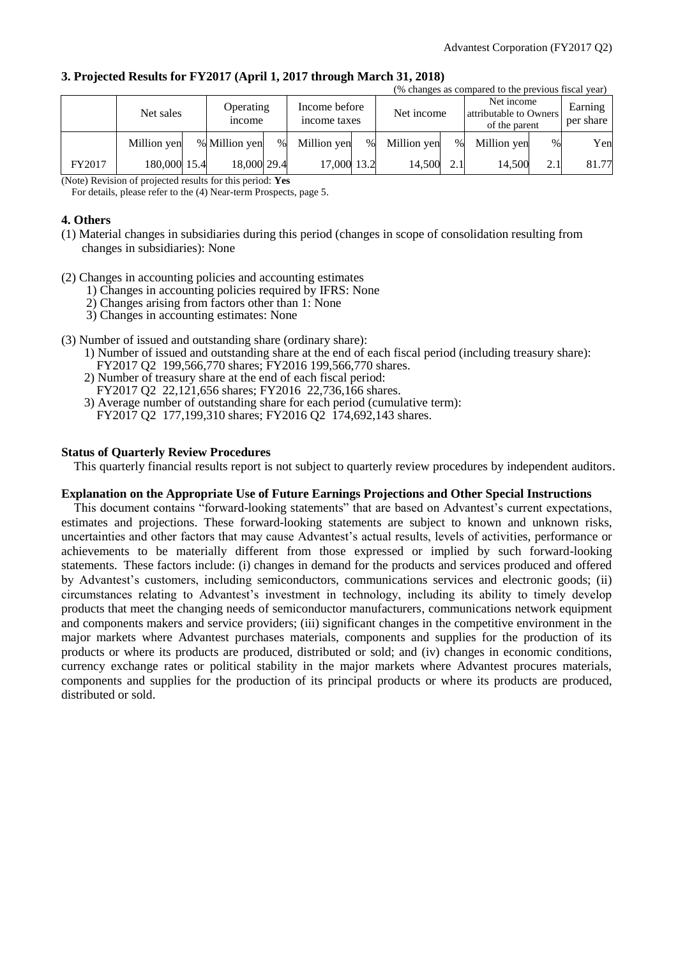|        |              |  |                                                             |   |             |      |                                                       |      | (% changes as compared to the previous fiscal year) |      |       |
|--------|--------------|--|-------------------------------------------------------------|---|-------------|------|-------------------------------------------------------|------|-----------------------------------------------------|------|-------|
|        | Net sales    |  | Income before<br>Operating<br>income taxes<br><i>n</i> come |   | Net income  |      | Net income<br>attributable to Owners<br>of the parent |      | Earning<br>per share                                |      |       |
|        | Million yen  |  | % Million yen                                               | % | Million yen | $\%$ | Million yen                                           | $\%$ | Million yen                                         | $\%$ | Yen   |
| FY2017 | 180,000 15.4 |  | 18,000 29.4                                                 |   | 17,000 13.2 |      | 14.500                                                | 2.1  | 14.500                                              | 2.1  | 81.77 |

#### **3. Projected Results for FY2017 (April 1, 2017 through March 31, 2018)**

(Note) Revision of projected results for this period: **Yes**

For details, please refer to the (4) Near-term Prospects, page 5.

#### **4. Others**

- (1) Material changes in subsidiaries during this period (changes in scope of consolidation resulting from changes in subsidiaries): None
- (2) Changes in accounting policies and accounting estimates
	- 1) Changes in accounting policies required by IFRS: None
	- 2) Changes arising from factors other than 1: None
	- 3) Changes in accounting estimates: None
- (3) Number of issued and outstanding share (ordinary share):
	- 1) Number of issued and outstanding share at the end of each fiscal period (including treasury share): FY2017 Q2 199,566,770 shares; FY2016 199,566,770 shares.
	- 2) Number of treasury share at the end of each fiscal period: FY2017 Q2 22,121,656 shares; FY2016 22,736,166 shares.
	- 3) Average number of outstanding share for each period (cumulative term): FY2017 Q2 177,199,310 shares; FY2016 Q2 174,692,143 shares.

#### **Status of Quarterly Review Procedures**

This quarterly financial results report is not subject to quarterly review procedures by independent auditors.

#### **Explanation on the Appropriate Use of Future Earnings Projections and Other Special Instructions**

This document contains "forward-looking statements" that are based on Advantest's current expectations, estimates and projections. These forward-looking statements are subject to known and unknown risks, uncertainties and other factors that may cause Advantest's actual results, levels of activities, performance or achievements to be materially different from those expressed or implied by such forward-looking statements. These factors include: (i) changes in demand for the products and services produced and offered by Advantest's customers, including semiconductors, communications services and electronic goods; (ii) circumstances relating to Advantest's investment in technology, including its ability to timely develop products that meet the changing needs of semiconductor manufacturers, communications network equipment and components makers and service providers; (iii) significant changes in the competitive environment in the major markets where Advantest purchases materials, components and supplies for the production of its products or where its products are produced, distributed or sold; and (iv) changes in economic conditions, currency exchange rates or political stability in the major markets where Advantest procures materials, components and supplies for the production of its principal products or where its products are produced, distributed or sold.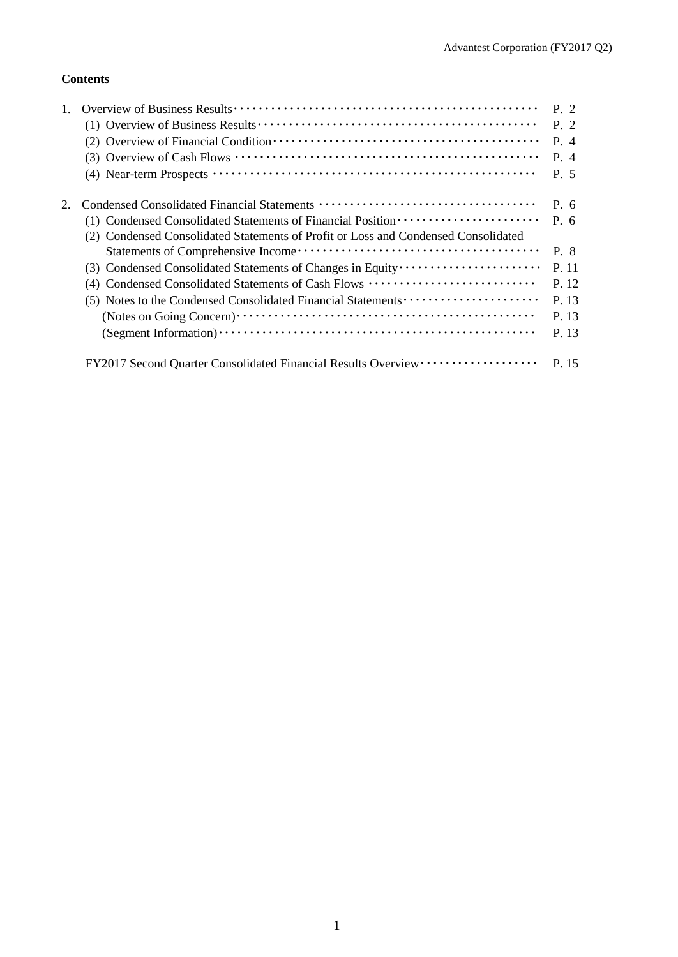# **Contents**

|                                                                                    | P. 2      |
|------------------------------------------------------------------------------------|-----------|
|                                                                                    | P. 2      |
|                                                                                    | P. 4      |
|                                                                                    | P. 4      |
|                                                                                    | P. 5      |
|                                                                                    | P. 6      |
| (1) Condensed Consolidated Statements of Financial Position ·····················  | $P_{0.6}$ |
| (2) Condensed Consolidated Statements of Profit or Loss and Condensed Consolidated |           |
|                                                                                    | P. 8      |
|                                                                                    | P. 11     |
| (4) Condensed Consolidated Statements of Cash Flows                                | P. 12     |
| (5) Notes to the Condensed Consolidated Financial Statements                       | P. 13     |
|                                                                                    | P. 13     |
|                                                                                    | P. 13     |
| FY2017 Second Quarter Consolidated Financial Results Overview ··················   | P. 15     |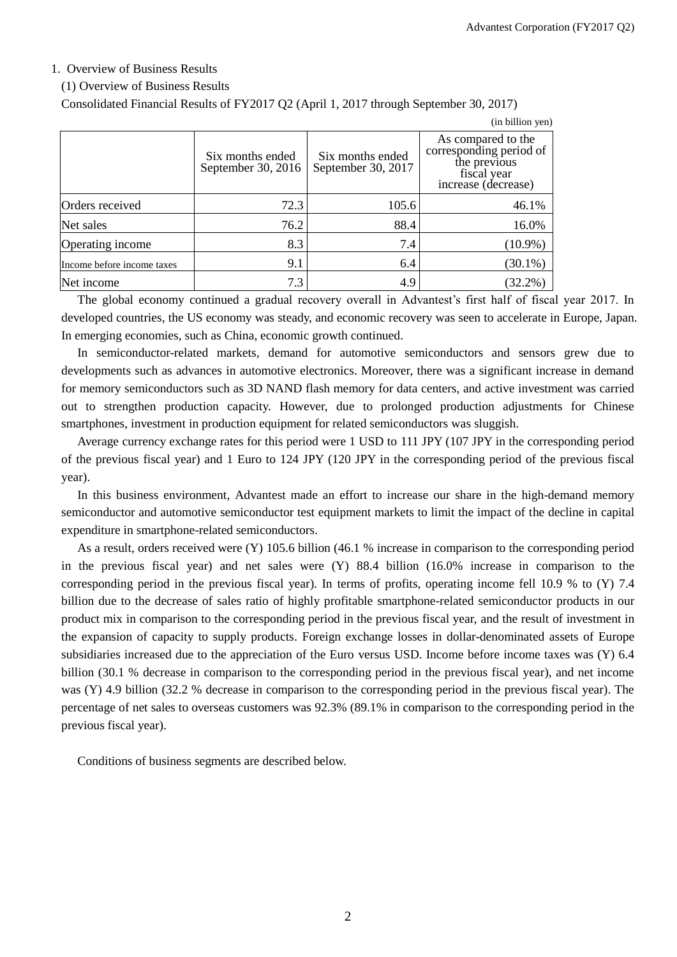$(in$  billion  $van$ 

#### 1. Overview of Business Results

#### (1) Overview of Business Results

Consolidated Financial Results of FY2017 Q2 (April 1, 2017 through September 30, 2017)

|                            |                                        |                                        | THE OTHER YEAR.                                                                                     |
|----------------------------|----------------------------------------|----------------------------------------|-----------------------------------------------------------------------------------------------------|
|                            | Six months ended<br>September 30, 2016 | Six months ended<br>September 30, 2017 | As compared to the<br>corresponding period of<br>the previous<br>fiscal year<br>increase (decrease) |
| Orders received            | 72.3                                   | 105.6                                  | 46.1%                                                                                               |
| Net sales                  | 76.2                                   | 88.4                                   | 16.0%                                                                                               |
| Operating income           | 8.3                                    | 7.4                                    | $(10.9\%)$                                                                                          |
| Income before income taxes | 9.1                                    | 6.4                                    | $(30.1\%)$                                                                                          |
| Net income                 | 7.3                                    | 4.9                                    | $(32.2\%)$                                                                                          |

The global economy continued a gradual recovery overall in Advantest's first half of fiscal year 2017. In developed countries, the US economy was steady, and economic recovery was seen to accelerate in Europe, Japan. In emerging economies, such as China, economic growth continued.

In semiconductor-related markets, demand for automotive semiconductors and sensors grew due to developments such as advances in automotive electronics. Moreover, there was a significant increase in demand for memory semiconductors such as 3D NAND flash memory for data centers, and active investment was carried out to strengthen production capacity. However, due to prolonged production adjustments for Chinese smartphones, investment in production equipment for related semiconductors was sluggish.

Average currency exchange rates for this period were 1 USD to 111 JPY (107 JPY in the corresponding period of the previous fiscal year) and 1 Euro to 124 JPY (120 JPY in the corresponding period of the previous fiscal year).

In this business environment, Advantest made an effort to increase our share in the high-demand memory semiconductor and automotive semiconductor test equipment markets to limit the impact of the decline in capital expenditure in smartphone-related semiconductors.

As a result, orders received were (Y) 105.6 billion (46.1 % increase in comparison to the corresponding period in the previous fiscal year) and net sales were (Y) 88.4 billion (16.0% increase in comparison to the corresponding period in the previous fiscal year). In terms of profits, operating income fell 10.9 % to (Y) 7.4 billion due to the decrease of sales ratio of highly profitable smartphone-related semiconductor products in our product mix in comparison to the corresponding period in the previous fiscal year, and the result of investment in the expansion of capacity to supply products. Foreign exchange losses in dollar-denominated assets of Europe subsidiaries increased due to the appreciation of the Euro versus USD. Income before income taxes was (Y) 6.4 billion (30.1 % decrease in comparison to the corresponding period in the previous fiscal year), and net income was (Y) 4.9 billion (32.2 % decrease in comparison to the corresponding period in the previous fiscal year). The percentage of net sales to overseas customers was 92.3% (89.1% in comparison to the corresponding period in the previous fiscal year).

Conditions of business segments are described below.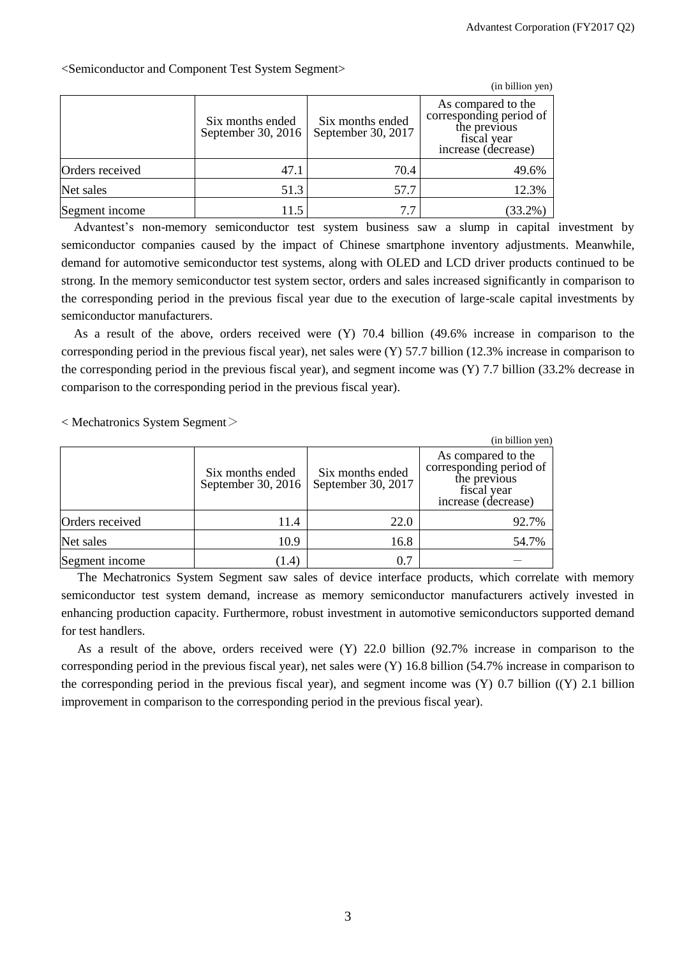|                 |                                        |                                        | (in billion yen)                                                                                    |
|-----------------|----------------------------------------|----------------------------------------|-----------------------------------------------------------------------------------------------------|
|                 | Six months ended<br>September 30, 2016 | Six months ended<br>September 30, 2017 | As compared to the<br>corresponding period of<br>the previous<br>fiscal year<br>increase (decrease) |
| Orders received | 47.1                                   | 70.4                                   | 49.6%                                                                                               |
| Net sales       | 51.3                                   | 57.7                                   | 12.3%                                                                                               |
| Segment income  | 11.5                                   | 7.7                                    | $(33.2\%)$                                                                                          |

<Semiconductor and Component Test System Segment>

Advantest's non-memory semiconductor test system business saw a slump in capital investment by semiconductor companies caused by the impact of Chinese smartphone inventory adjustments. Meanwhile, demand for automotive semiconductor test systems, along with OLED and LCD driver products continued to be strong. In the memory semiconductor test system sector, orders and sales increased significantly in comparison to the corresponding period in the previous fiscal year due to the execution of large-scale capital investments by semiconductor manufacturers.

As a result of the above, orders received were (Y) 70.4 billion (49.6% increase in comparison to the corresponding period in the previous fiscal year), net sales were  $(Y)$  57.7 billion (12.3% increase in comparison to the corresponding period in the previous fiscal year), and segment income was (Y) 7.7 billion (33.2% decrease in comparison to the corresponding period in the previous fiscal year).

< Mechatronics System Segment>

|                 |                                        |                                        | (in billion yen)                                                                                    |
|-----------------|----------------------------------------|----------------------------------------|-----------------------------------------------------------------------------------------------------|
|                 | Six months ended<br>September 30, 2016 | Six months ended<br>September 30, 2017 | As compared to the<br>corresponding period of<br>the previous<br>fiscal year<br>increase (decrease) |
| Orders received | 11.4                                   | 22.0                                   | 92.7%                                                                                               |
| Net sales       | 10.9                                   | 16.8                                   | 54.7%                                                                                               |
| Segment income  | (1.4)                                  | 0.7                                    |                                                                                                     |

The Mechatronics System Segment saw sales of device interface products, which correlate with memory semiconductor test system demand, increase as memory semiconductor manufacturers actively invested in enhancing production capacity. Furthermore, robust investment in automotive semiconductors supported demand for test handlers.

As a result of the above, orders received were (Y) 22.0 billion (92.7% increase in comparison to the corresponding period in the previous fiscal year), net sales were (Y) 16.8 billion (54.7% increase in comparison to the corresponding period in the previous fiscal year), and segment income was (Y) 0.7 billion ((Y) 2.1 billion improvement in comparison to the corresponding period in the previous fiscal year).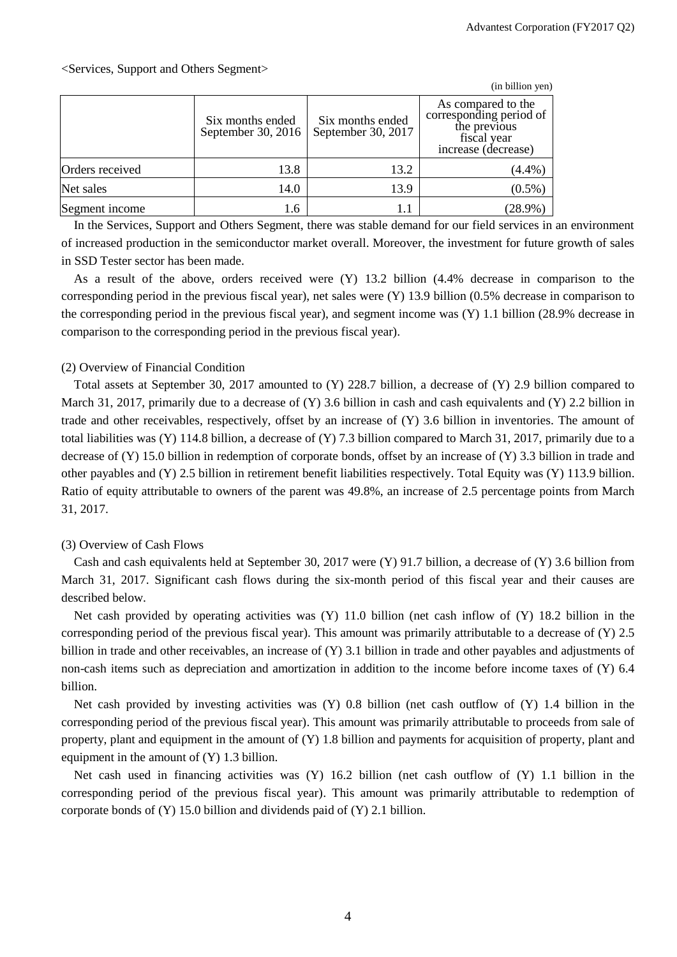|                 |                                        |                                        | (in billion yen)                                                                                    |
|-----------------|----------------------------------------|----------------------------------------|-----------------------------------------------------------------------------------------------------|
|                 | Six months ended<br>September 30, 2016 | Six months ended<br>September 30, 2017 | As compared to the<br>corresponding period of<br>the previous<br>fiscal year<br>increase (decrease) |
| Orders received | 13.8                                   | 13.2                                   | $(4.4\%)$                                                                                           |
| Net sales       | 14.0                                   | 13.9                                   | $(0.5\%)$                                                                                           |
| Segment income  | 1.6                                    | 1.1                                    | $(28.9\%)$                                                                                          |

In the Services, Support and Others Segment, there was stable demand for our field services in an environment of increased production in the semiconductor market overall. Moreover, the investment for future growth of sales in SSD Tester sector has been made.

As a result of the above, orders received were (Y) 13.2 billion (4.4% decrease in comparison to the corresponding period in the previous fiscal year), net sales were (Y) 13.9 billion (0.5% decrease in comparison to the corresponding period in the previous fiscal year), and segment income was (Y) 1.1 billion (28.9% decrease in comparison to the corresponding period in the previous fiscal year).

## (2) Overview of Financial Condition

Total assets at September 30, 2017 amounted to (Y) 228.7 billion, a decrease of (Y) 2.9 billion compared to March 31, 2017, primarily due to a decrease of  $(Y)$  3.6 billion in cash and cash equivalents and  $(Y)$  2.2 billion in trade and other receivables, respectively, offset by an increase of (Y) 3.6 billion in inventories. The amount of total liabilities was (Y) 114.8 billion, a decrease of (Y) 7.3 billion compared to March 31, 2017, primarily due to a decrease of (Y) 15.0 billion in redemption of corporate bonds, offset by an increase of (Y) 3.3 billion in trade and other payables and (Y) 2.5 billion in retirement benefit liabilities respectively. Total Equity was (Y) 113.9 billion. Ratio of equity attributable to owners of the parent was 49.8%, an increase of 2.5 percentage points from March 31, 2017.

## (3) Overview of Cash Flows

Cash and cash equivalents held at September 30, 2017 were (Y) 91.7 billion, a decrease of (Y) 3.6 billion from March 31, 2017. Significant cash flows during the six-month period of this fiscal year and their causes are described below.

Net cash provided by operating activities was (Y) 11.0 billion (net cash inflow of (Y) 18.2 billion in the corresponding period of the previous fiscal year). This amount was primarily attributable to a decrease of (Y) 2.5 billion in trade and other receivables, an increase of (Y) 3.1 billion in trade and other payables and adjustments of non-cash items such as depreciation and amortization in addition to the income before income taxes of (Y) 6.4 billion.

Net cash provided by investing activities was (Y) 0.8 billion (net cash outflow of (Y) 1.4 billion in the corresponding period of the previous fiscal year). This amount was primarily attributable to proceeds from sale of property, plant and equipment in the amount of (Y) 1.8 billion and payments for acquisition of property, plant and equipment in the amount of (Y) 1.3 billion.

Net cash used in financing activities was (Y) 16.2 billion (net cash outflow of (Y) 1.1 billion in the corresponding period of the previous fiscal year). This amount was primarily attributable to redemption of corporate bonds of (Y) 15.0 billion and dividends paid of (Y) 2.1 billion.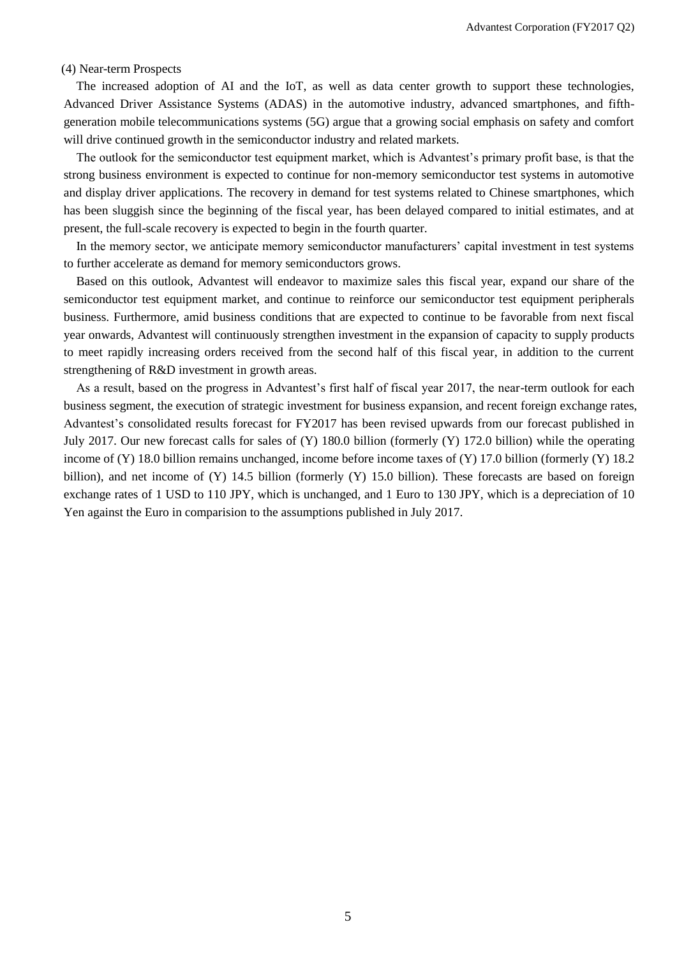#### (4) Near-term Prospects

The increased adoption of AI and the IoT, as well as data center growth to support these technologies, Advanced Driver Assistance Systems (ADAS) in the automotive industry, advanced smartphones, and fifthgeneration mobile telecommunications systems (5G) argue that a growing social emphasis on safety and comfort will drive continued growth in the semiconductor industry and related markets.

The outlook for the semiconductor test equipment market, which is Advantest's primary profit base, is that the strong business environment is expected to continue for non-memory semiconductor test systems in automotive and display driver applications. The recovery in demand for test systems related to Chinese smartphones, which has been sluggish since the beginning of the fiscal year, has been delayed compared to initial estimates, and at present, the full-scale recovery is expected to begin in the fourth quarter.

In the memory sector, we anticipate memory semiconductor manufacturers' capital investment in test systems to further accelerate as demand for memory semiconductors grows.

Based on this outlook, Advantest will endeavor to maximize sales this fiscal year, expand our share of the semiconductor test equipment market, and continue to reinforce our semiconductor test equipment peripherals business. Furthermore, amid business conditions that are expected to continue to be favorable from next fiscal year onwards, Advantest will continuously strengthen investment in the expansion of capacity to supply products to meet rapidly increasing orders received from the second half of this fiscal year, in addition to the current strengthening of R&D investment in growth areas.

As a result, based on the progress in Advantest's first half of fiscal year 2017, the near-term outlook for each business segment, the execution of strategic investment for business expansion, and recent foreign exchange rates, Advantest's consolidated results forecast for FY2017 has been revised upwards from our forecast published in July 2017. Our new forecast calls for sales of (Y) 180.0 billion (formerly (Y) 172.0 billion) while the operating income of (Y) 18.0 billion remains unchanged, income before income taxes of (Y) 17.0 billion (formerly (Y) 18.2 billion), and net income of (Y) 14.5 billion (formerly (Y) 15.0 billion). These forecasts are based on foreign exchange rates of 1 USD to 110 JPY, which is unchanged, and 1 Euro to 130 JPY, which is a depreciation of 10 Yen against the Euro in comparision to the assumptions published in July 2017.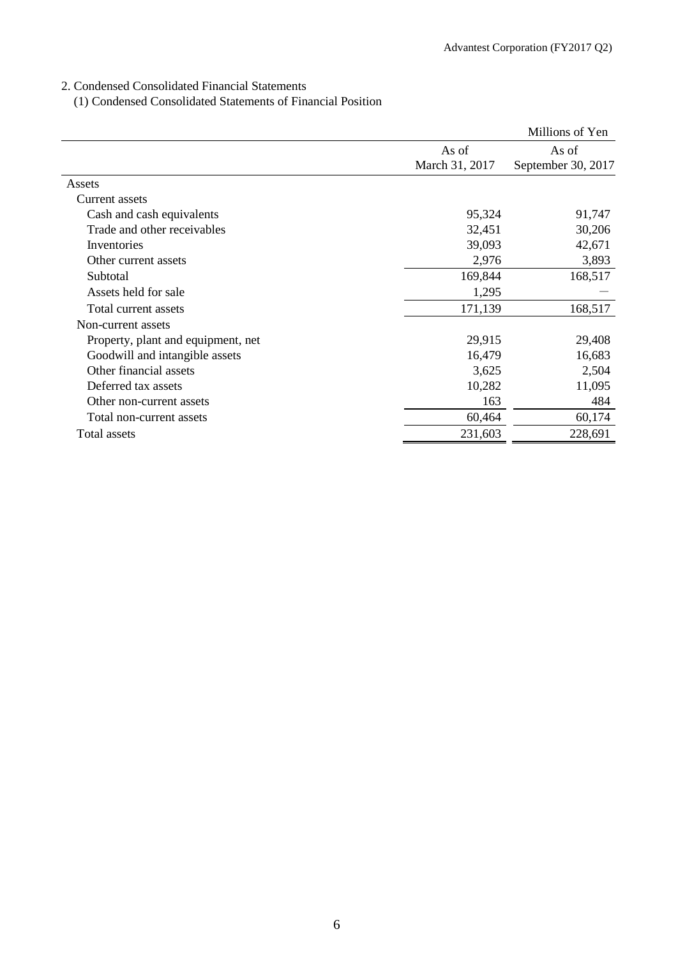# 2. Condensed Consolidated Financial Statements

(1) Condensed Consolidated Statements of Financial Position

|                                    |                | Millions of Yen    |
|------------------------------------|----------------|--------------------|
|                                    | As of          | As of              |
|                                    | March 31, 2017 | September 30, 2017 |
| Assets                             |                |                    |
| Current assets                     |                |                    |
| Cash and cash equivalents          | 95,324         | 91,747             |
| Trade and other receivables        | 32,451         | 30,206             |
| Inventories                        | 39,093         | 42,671             |
| Other current assets               | 2,976          | 3,893              |
| Subtotal                           | 169,844        | 168,517            |
| Assets held for sale               | 1,295          |                    |
| Total current assets               | 171,139        | 168,517            |
| Non-current assets                 |                |                    |
| Property, plant and equipment, net | 29,915         | 29,408             |
| Goodwill and intangible assets     | 16,479         | 16,683             |
| Other financial assets             | 3,625          | 2,504              |
| Deferred tax assets                | 10,282         | 11,095             |
| Other non-current assets           | 163            | 484                |
| Total non-current assets           | 60,464         | 60,174             |
| Total assets                       | 231,603        | 228,691            |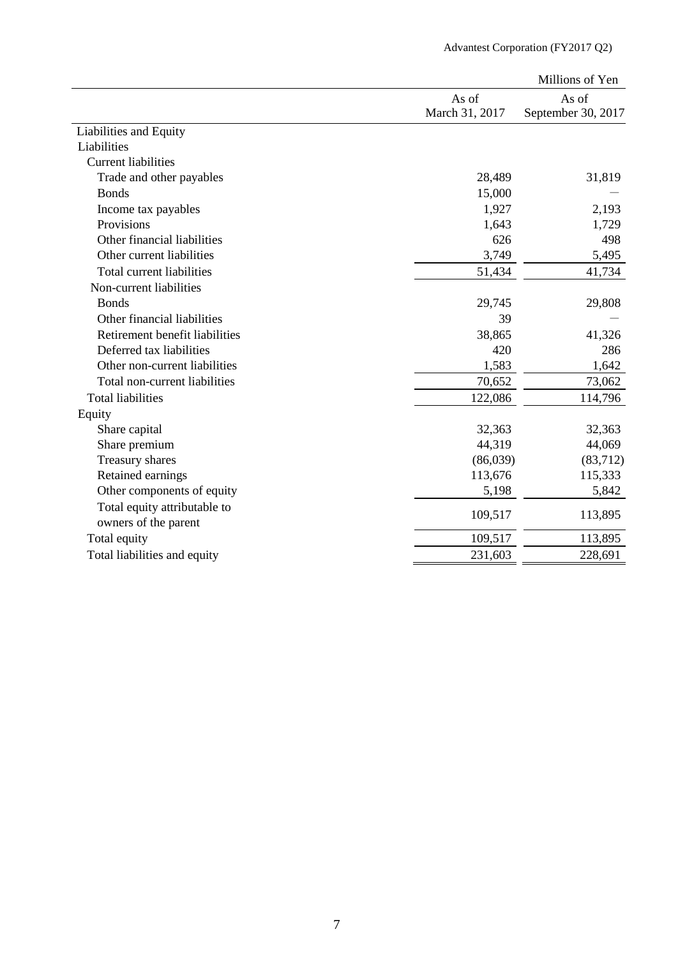|                                                                                                                                                                                                                                                                                                                                                                                                                                                                                                                     |                | Millions of Yen    |
|---------------------------------------------------------------------------------------------------------------------------------------------------------------------------------------------------------------------------------------------------------------------------------------------------------------------------------------------------------------------------------------------------------------------------------------------------------------------------------------------------------------------|----------------|--------------------|
|                                                                                                                                                                                                                                                                                                                                                                                                                                                                                                                     | As of          | As of              |
| Liabilities and Equity<br>Liabilities<br><b>Current liabilities</b><br>Trade and other payables<br><b>Bonds</b><br>Income tax payables<br>Provisions<br>Other financial liabilities<br>Other current liabilities<br><b>Total current liabilities</b><br>Non-current liabilities<br><b>Bonds</b><br>Other financial liabilities<br>Retirement benefit liabilities<br>Deferred tax liabilities<br>Other non-current liabilities<br>Total non-current liabilities<br>Share capital<br>Share premium<br>Treasury shares | March 31, 2017 | September 30, 2017 |
|                                                                                                                                                                                                                                                                                                                                                                                                                                                                                                                     |                |                    |
|                                                                                                                                                                                                                                                                                                                                                                                                                                                                                                                     |                |                    |
|                                                                                                                                                                                                                                                                                                                                                                                                                                                                                                                     |                |                    |
|                                                                                                                                                                                                                                                                                                                                                                                                                                                                                                                     | 28,489         | 31,819             |
|                                                                                                                                                                                                                                                                                                                                                                                                                                                                                                                     | 15,000         |                    |
|                                                                                                                                                                                                                                                                                                                                                                                                                                                                                                                     | 1,927          | 2,193              |
|                                                                                                                                                                                                                                                                                                                                                                                                                                                                                                                     | 1,643          | 1,729              |
|                                                                                                                                                                                                                                                                                                                                                                                                                                                                                                                     | 626            | 498                |
|                                                                                                                                                                                                                                                                                                                                                                                                                                                                                                                     | 3,749          | 5,495              |
|                                                                                                                                                                                                                                                                                                                                                                                                                                                                                                                     | 51,434         | 41,734             |
|                                                                                                                                                                                                                                                                                                                                                                                                                                                                                                                     |                |                    |
|                                                                                                                                                                                                                                                                                                                                                                                                                                                                                                                     | 29,745         | 29,808             |
|                                                                                                                                                                                                                                                                                                                                                                                                                                                                                                                     | 39             |                    |
|                                                                                                                                                                                                                                                                                                                                                                                                                                                                                                                     | 38,865         | 41,326             |
|                                                                                                                                                                                                                                                                                                                                                                                                                                                                                                                     | 420            | 286                |
|                                                                                                                                                                                                                                                                                                                                                                                                                                                                                                                     | 1,583          | 1,642              |
|                                                                                                                                                                                                                                                                                                                                                                                                                                                                                                                     | 70,652         | 73,062             |
| <b>Total liabilities</b>                                                                                                                                                                                                                                                                                                                                                                                                                                                                                            | 122,086        | 114,796            |
| Equity                                                                                                                                                                                                                                                                                                                                                                                                                                                                                                              |                |                    |
|                                                                                                                                                                                                                                                                                                                                                                                                                                                                                                                     | 32,363         | 32,363             |
|                                                                                                                                                                                                                                                                                                                                                                                                                                                                                                                     | 44,319         | 44,069             |
|                                                                                                                                                                                                                                                                                                                                                                                                                                                                                                                     | (86,039)       | (83,712)           |
| Retained earnings                                                                                                                                                                                                                                                                                                                                                                                                                                                                                                   | 113,676        | 115,333            |
| Other components of equity                                                                                                                                                                                                                                                                                                                                                                                                                                                                                          | 5,198          | 5,842              |
| Total equity attributable to<br>owners of the parent                                                                                                                                                                                                                                                                                                                                                                                                                                                                | 109,517        | 113,895            |
| Total equity                                                                                                                                                                                                                                                                                                                                                                                                                                                                                                        | 109,517        | 113,895            |
| Total liabilities and equity                                                                                                                                                                                                                                                                                                                                                                                                                                                                                        | 231,603        | 228,691            |
|                                                                                                                                                                                                                                                                                                                                                                                                                                                                                                                     |                |                    |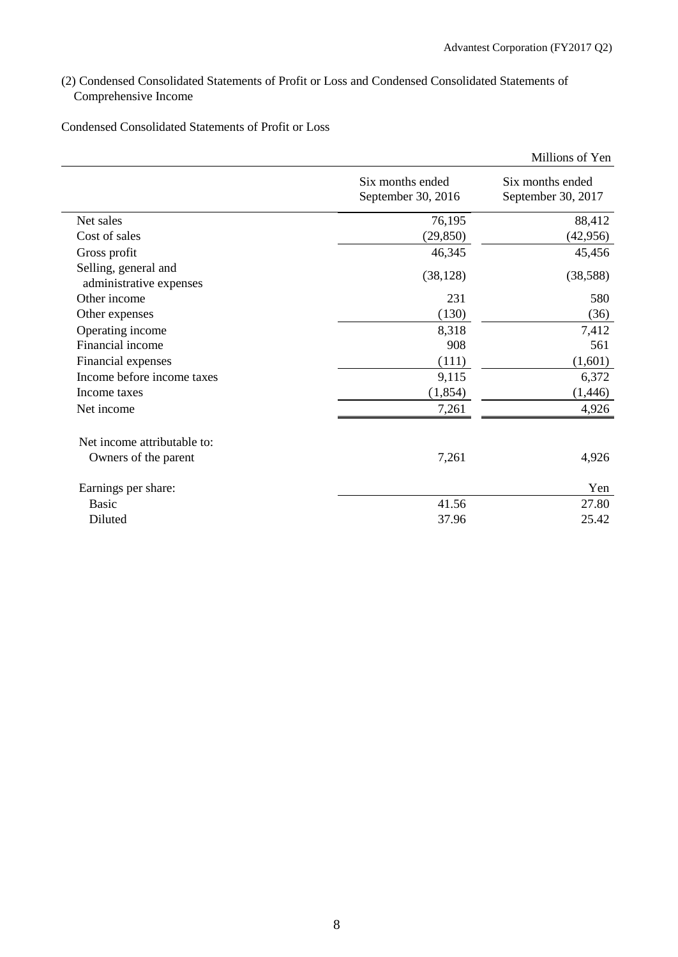(2) Condensed Consolidated Statements of Profit or Loss and Condensed Consolidated Statements of Comprehensive Income

Condensed Consolidated Statements of Profit or Loss

|                                                 |                                        | Millions of Yen                        |
|-------------------------------------------------|----------------------------------------|----------------------------------------|
|                                                 | Six months ended<br>September 30, 2016 | Six months ended<br>September 30, 2017 |
| Net sales                                       | 76,195                                 | 88,412                                 |
| Cost of sales                                   | (29, 850)                              | (42, 956)                              |
| Gross profit                                    | 46,345                                 | 45,456                                 |
| Selling, general and<br>administrative expenses | (38, 128)                              | (38, 588)                              |
| Other income                                    | 231                                    | 580                                    |
| Other expenses                                  | (130)                                  | (36)                                   |
| Operating income                                | 8,318                                  | 7,412                                  |
| Financial income                                | 908                                    | 561                                    |
| Financial expenses                              | (111)                                  | (1,601)                                |
| Income before income taxes                      | 9,115                                  | 6,372                                  |
| Income taxes                                    | (1, 854)                               | (1,446)                                |
| Net income                                      | 7,261                                  | 4,926                                  |
| Net income attributable to:                     |                                        |                                        |
| Owners of the parent                            | 7,261                                  | 4,926                                  |
| Earnings per share:                             |                                        | Yen                                    |
| <b>Basic</b>                                    | 41.56                                  | 27.80                                  |
| Diluted                                         | 37.96                                  | 25.42                                  |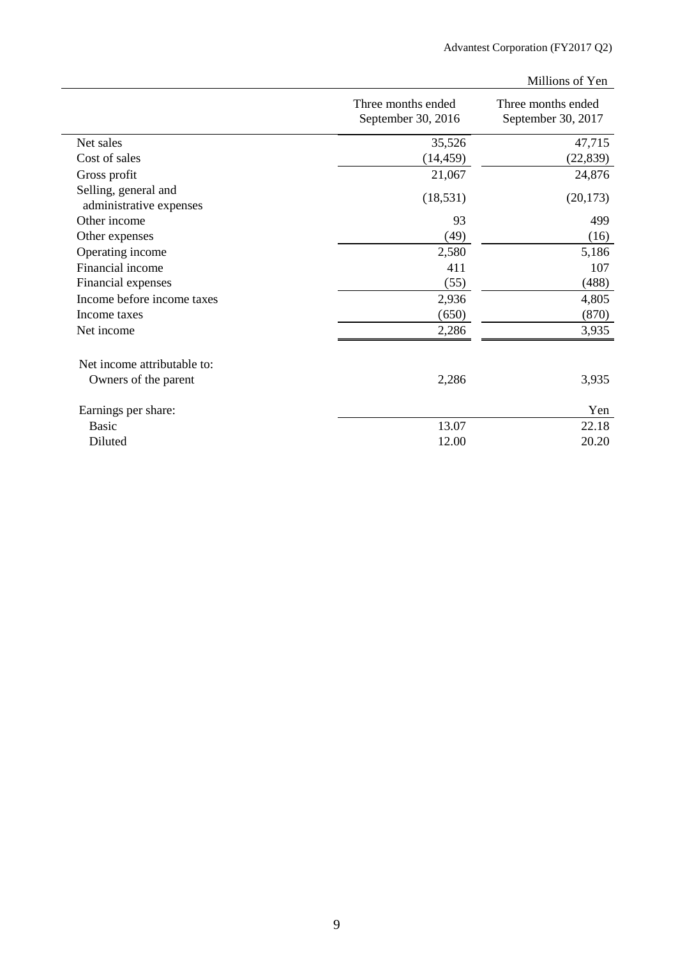|                                                 |                                          | Millions of Yen                          |
|-------------------------------------------------|------------------------------------------|------------------------------------------|
|                                                 | Three months ended<br>September 30, 2016 | Three months ended<br>September 30, 2017 |
| Net sales                                       | 35,526                                   | 47,715                                   |
| Cost of sales                                   | (14, 459)                                | (22, 839)                                |
| Gross profit                                    | 21,067                                   | 24,876                                   |
| Selling, general and<br>administrative expenses | (18, 531)                                | (20, 173)                                |
| Other income                                    | 93                                       | 499                                      |
| Other expenses                                  | (49)                                     | (16)                                     |
| Operating income                                | 2,580                                    | 5,186                                    |
| Financial income                                | 411                                      | 107                                      |
| Financial expenses                              | (55)                                     | (488)                                    |
| Income before income taxes                      | 2,936                                    | 4,805                                    |
| Income taxes                                    | (650)                                    | (870)                                    |
| Net income                                      | 2,286                                    | 3,935                                    |
| Net income attributable to:                     |                                          |                                          |
| Owners of the parent                            | 2,286                                    | 3,935                                    |
| Earnings per share:                             |                                          | Yen                                      |
| <b>Basic</b>                                    | 13.07                                    | 22.18                                    |
| Diluted                                         | 12.00                                    | 20.20                                    |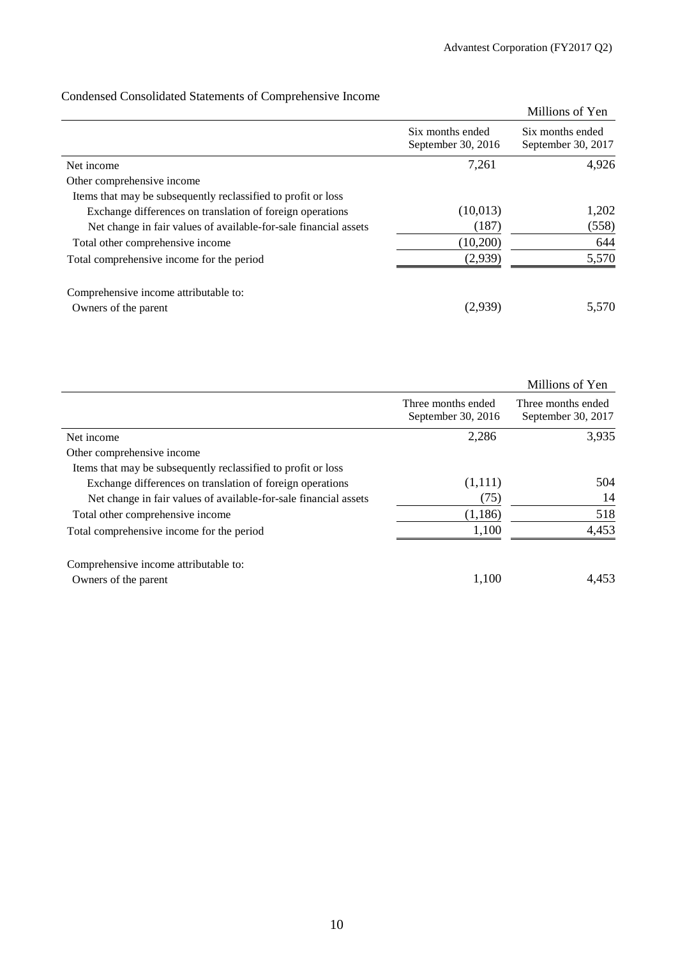|                                                                  |                                        | Millions of Yen                        |
|------------------------------------------------------------------|----------------------------------------|----------------------------------------|
|                                                                  | Six months ended<br>September 30, 2016 | Six months ended<br>September 30, 2017 |
| Net income                                                       | 7,261                                  | 4,926                                  |
| Other comprehensive income                                       |                                        |                                        |
| Items that may be subsequently reclassified to profit or loss    |                                        |                                        |
| Exchange differences on translation of foreign operations        | (10,013)                               | 1,202                                  |
| Net change in fair values of available-for-sale financial assets | (187)                                  | (558)                                  |
| Total other comprehensive income                                 | (10,200)                               | 644                                    |
| Total comprehensive income for the period                        | (2,939)                                | 5,570                                  |
| Comprehensive income attributable to:                            |                                        |                                        |
| Owners of the parent                                             | (2,939)                                | 5,570                                  |

# Condensed Consolidated Statements of Comprehensive Income

|                                                                  |                                          | Millions of Yen                          |
|------------------------------------------------------------------|------------------------------------------|------------------------------------------|
|                                                                  | Three months ended<br>September 30, 2016 | Three months ended<br>September 30, 2017 |
| Net income                                                       | 2,286                                    | 3,935                                    |
| Other comprehensive income                                       |                                          |                                          |
| Items that may be subsequently reclassified to profit or loss    |                                          |                                          |
| Exchange differences on translation of foreign operations        | (1,111)                                  | 504                                      |
| Net change in fair values of available-for-sale financial assets | (75)                                     | 14                                       |
| Total other comprehensive income                                 | (1,186)                                  | 518                                      |
| Total comprehensive income for the period                        | 1,100                                    | 4,453                                    |
| Comprehensive income attributable to:                            |                                          |                                          |
| Owners of the parent                                             | 1,100                                    | 4,453                                    |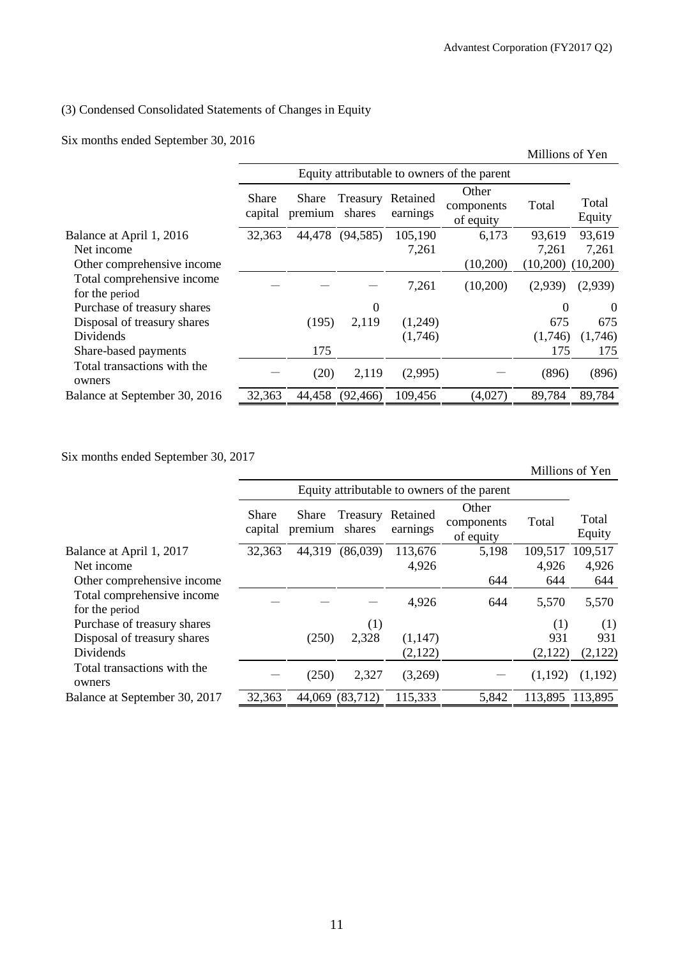# (3) Condensed Consolidated Statements of Changes in Equity

Six months ended September 30, 2016

| Equity attributable to owners of the parent<br>Other<br>Share<br>Retained<br>Treasury<br>Share<br>Total  |          |
|----------------------------------------------------------------------------------------------------------|----------|
|                                                                                                          |          |
| Total<br>components<br>shares<br>earnings<br>capital<br>premium<br>Equity<br>of equity                   |          |
| 93,619<br>32,363<br>44,478<br>(94, 585)<br>105,190<br>6,173<br>93,619<br>Balance at April 1, 2016        |          |
| Net income<br>7,261<br>7,261<br>7,261                                                                    |          |
| (10,200)<br>(10,200)<br>Other comprehensive income<br>(10,200)                                           |          |
| Total comprehensive income<br>7,261<br>(10,200)<br>(2,939)<br>(2,939)<br>for the period                  |          |
| $\boldsymbol{0}$<br>Purchase of treasury shares<br>$\Omega$                                              | $\theta$ |
| (1,249)<br>675<br>Disposal of treasury shares<br>(195)<br>2,119                                          | 675      |
| Dividends<br>(1,746)<br>(1,746)<br>(1,746)                                                               |          |
| 175<br>175<br>Share-based payments                                                                       | 175      |
| Total transactions with the<br>(20)<br>2,119<br>(2,995)<br>(896)<br>owners                               | (896)    |
| 89,784<br>109,456<br>(4,027)<br>89,784<br>32,363<br>44,458<br>(92, 466)<br>Balance at September 30, 2016 |          |

Six months ended September 30, 2017

Millions of Yen

|                                              |                         | Equity attributable to owners of the parent |                    |                      |                                  |         |                 |  |
|----------------------------------------------|-------------------------|---------------------------------------------|--------------------|----------------------|----------------------------------|---------|-----------------|--|
|                                              | <b>Share</b><br>capital | <b>Share</b><br>premium                     | Treasury<br>shares | Retained<br>earnings | Other<br>components<br>of equity | Total   | Total<br>Equity |  |
| Balance at April 1, 2017                     | 32,363                  | 44,319                                      | (86,039)           | 113,676              | 5,198                            | 109,517 | 109,517         |  |
| Net income                                   |                         |                                             |                    | 4,926                |                                  | 4,926   | 4,926           |  |
| Other comprehensive income                   |                         |                                             |                    |                      | 644                              | 644     | 644             |  |
| Total comprehensive income<br>for the period |                         |                                             |                    | 4,926                | 644                              | 5,570   | 5,570           |  |
| Purchase of treasury shares                  |                         |                                             | (1)                |                      |                                  | (1)     | (1)             |  |
| Disposal of treasury shares                  |                         | (250)                                       | 2,328              | (1,147)              |                                  | 931     | 931             |  |
| Dividends                                    |                         |                                             |                    | (2,122)              |                                  | (2,122) | (2,122)         |  |
| Total transactions with the<br>owners        |                         | (250)                                       | 2,327              | (3,269)              |                                  | (1,192) | (1,192)         |  |
| Balance at September 30, 2017                | 32,363                  | 44,069                                      | (83,712)           | 115,333              | 5,842                            |         | 113,895 113,895 |  |
|                                              |                         |                                             |                    |                      |                                  |         |                 |  |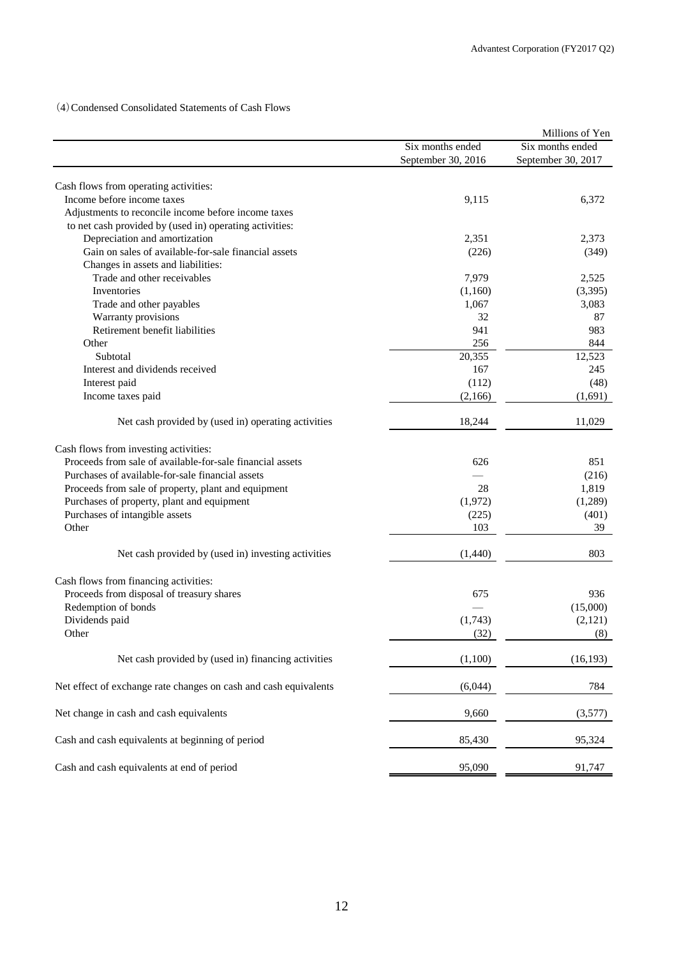(4)Condensed Consolidated Statements of Cash Flows

|                                                                  |                    | Millions of Yen    |
|------------------------------------------------------------------|--------------------|--------------------|
|                                                                  | Six months ended   | Six months ended   |
|                                                                  | September 30, 2016 | September 30, 2017 |
| Cash flows from operating activities:                            |                    |                    |
| Income before income taxes                                       | 9,115              | 6,372              |
| Adjustments to reconcile income before income taxes              |                    |                    |
| to net cash provided by (used in) operating activities:          |                    |                    |
| Depreciation and amortization                                    | 2,351              | 2,373              |
| Gain on sales of available-for-sale financial assets             | (226)              | (349)              |
| Changes in assets and liabilities:                               |                    |                    |
| Trade and other receivables                                      | 7,979              | 2,525              |
| Inventories                                                      | (1,160)            | (3,395)            |
| Trade and other payables                                         | 1,067              | 3,083              |
| Warranty provisions                                              | 32                 | 87                 |
| Retirement benefit liabilities                                   | 941                | 983                |
| Other                                                            | 256                | 844                |
| Subtotal                                                         | 20,355             | 12,523             |
| Interest and dividends received                                  | 167                | 245                |
| Interest paid                                                    | (112)              | (48)               |
| Income taxes paid                                                | (2,166)            | (1,691)            |
|                                                                  |                    |                    |
| Net cash provided by (used in) operating activities              | 18,244             | 11,029             |
| Cash flows from investing activities:                            |                    |                    |
| Proceeds from sale of available-for-sale financial assets        | 626                | 851                |
| Purchases of available-for-sale financial assets                 |                    | (216)              |
| Proceeds from sale of property, plant and equipment              | 28                 | 1,819              |
| Purchases of property, plant and equipment                       | (1,972)            | (1,289)            |
| Purchases of intangible assets                                   | (225)              | (401)              |
| Other                                                            | 103                | 39                 |
| Net cash provided by (used in) investing activities              | (1,440)            | 803                |
|                                                                  |                    |                    |
| Cash flows from financing activities:                            |                    |                    |
| Proceeds from disposal of treasury shares                        | 675                | 936                |
| Redemption of bonds                                              |                    | (15,000)           |
| Dividends paid                                                   | (1,743)            | (2,121)            |
| Other                                                            | (32)               | (8)                |
| Net cash provided by (used in) financing activities              | (1,100)            | (16, 193)          |
| Net effect of exchange rate changes on cash and cash equivalents | (6,044)            | 784                |
| Net change in cash and cash equivalents                          | 9,660              | (3,577)            |
| Cash and cash equivalents at beginning of period                 | 85,430             | 95,324             |
| Cash and cash equivalents at end of period                       | 95,090             | 91,747             |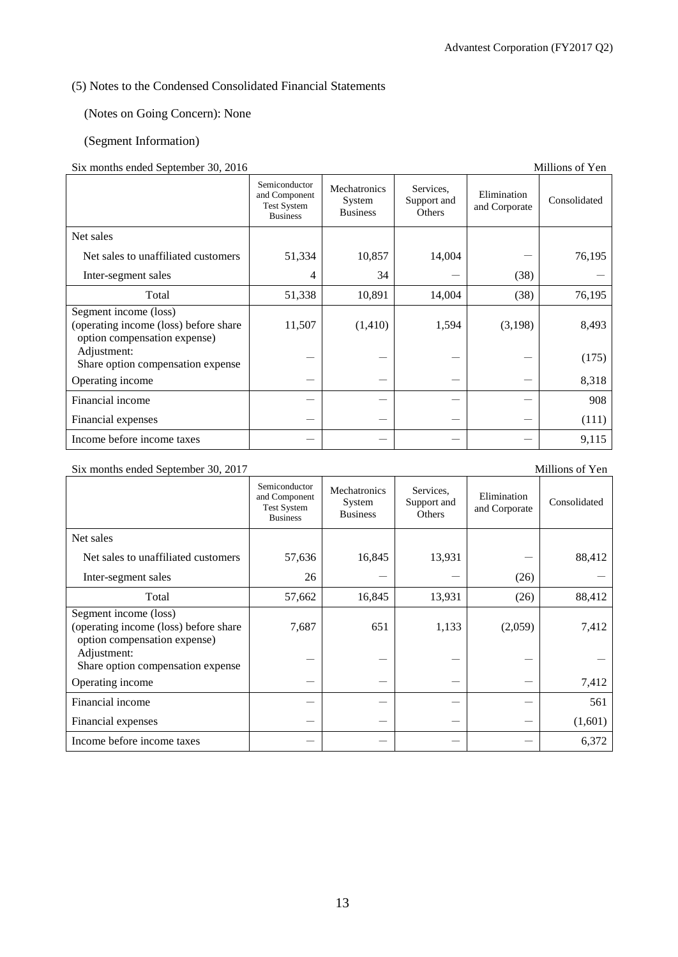# (5) Notes to the Condensed Consolidated Financial Statements

(Notes on Going Concern): None

## (Segment Information)

#### Six months ended September 30, 2016 Millions of Yen

| $\frac{1}{20}$ months ended beptended $\frac{1}{20}$ , $\frac{1}{2010}$                        | Semiconductor<br>and Component<br><b>Test System</b><br><b>Business</b> | Mechatronics<br>System<br><b>Business</b> | Services.<br>Support and<br>Others | Elimination<br>and Corporate | Consolidated |
|------------------------------------------------------------------------------------------------|-------------------------------------------------------------------------|-------------------------------------------|------------------------------------|------------------------------|--------------|
| Net sales                                                                                      |                                                                         |                                           |                                    |                              |              |
| Net sales to unaffiliated customers                                                            | 51,334                                                                  | 10,857                                    | 14,004                             |                              | 76,195       |
| Inter-segment sales                                                                            | 4                                                                       | 34                                        |                                    | (38)                         |              |
| Total                                                                                          | 51,338                                                                  | 10,891                                    | 14,004                             | (38)                         | 76,195       |
| Segment income (loss)<br>(operating income (loss) before share<br>option compensation expense) | 11,507                                                                  | (1,410)                                   | 1,594                              | (3,198)                      | 8,493        |
| Adjustment:<br>Share option compensation expense                                               |                                                                         |                                           |                                    |                              | (175)        |
| Operating income                                                                               |                                                                         |                                           |                                    |                              | 8,318        |
| Financial income                                                                               |                                                                         |                                           |                                    |                              | 908          |
| Financial expenses                                                                             |                                                                         |                                           |                                    |                              | (111)        |
| Income before income taxes                                                                     |                                                                         |                                           |                                    |                              | 9,115        |

#### Six months ended September 30, 2017 Millions of Yen

#### Semiconductor and Component Test System **Business** Mechatronics System Business Services, Support and **Others** Elimination Elimination Consolidated<br>and Corporate Consolidated Net sales Net sales to unaffiliated customers  $\begin{vmatrix} 57,636 \\ 16,845 \end{vmatrix}$  13,931  $\begin{vmatrix} 13,931 \\ -13,931 \end{vmatrix}$  88,412 Inter-segment sales  $26 \mid -| - | - |$  (26) Total 157,662 16,845 13,931 (26) 88,412 Segment income (loss) (operating income (loss) before share option compensation expense) 7,687 651 1,133 (2,059) 7,412 Adjustment: Share option compensation expense  $\begin{vmatrix} -1 & -1 & -1 \\ -1 & -1 & -1 \end{vmatrix}$  -Operating income  $7,412$ Financial income - - - - 561 Financial expenses  $(1,601)$ Income before income taxes  $6,372$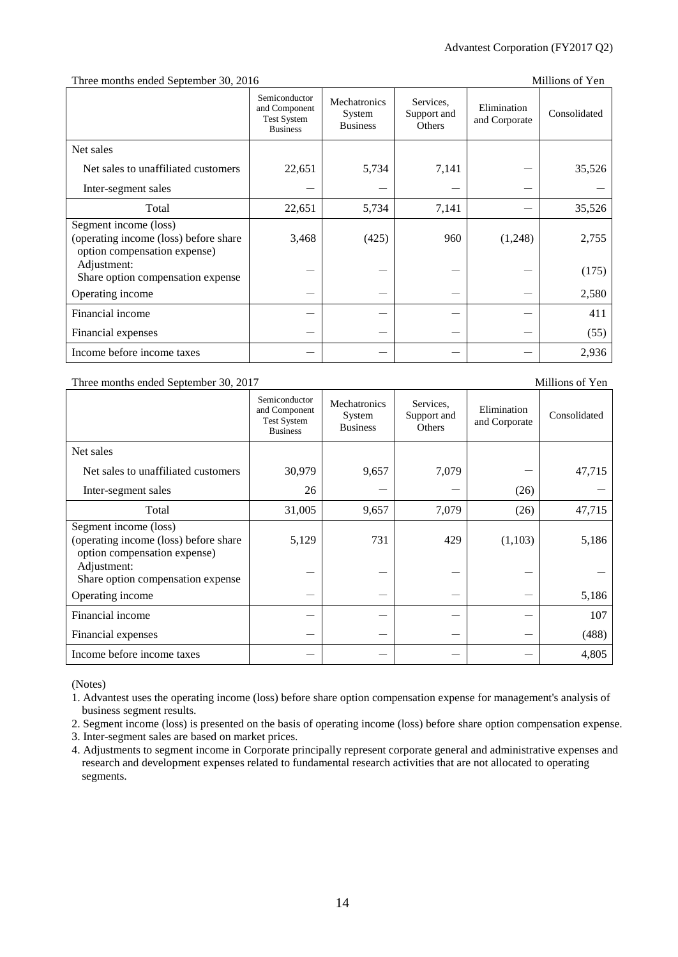#### Three months ended September 30, 2016 Millions of Yen

|                                                                                                | Semiconductor<br>and Component<br><b>Test System</b><br><b>Business</b> | Mechatronics<br>System<br><b>Business</b> | Services,<br>Support and<br>Others | Elimination<br>and Corporate | Consolidated |
|------------------------------------------------------------------------------------------------|-------------------------------------------------------------------------|-------------------------------------------|------------------------------------|------------------------------|--------------|
| Net sales                                                                                      |                                                                         |                                           |                                    |                              |              |
| Net sales to unaffiliated customers                                                            | 22,651                                                                  | 5,734                                     | 7,141                              |                              | 35,526       |
| Inter-segment sales                                                                            |                                                                         |                                           |                                    |                              |              |
| Total                                                                                          | 22,651                                                                  | 5,734                                     | 7,141                              |                              | 35,526       |
| Segment income (loss)<br>(operating income (loss) before share<br>option compensation expense) | 3,468                                                                   | (425)                                     | 960                                | (1,248)                      | 2,755        |
| Adjustment:<br>Share option compensation expense                                               |                                                                         |                                           |                                    |                              | (175)        |
| Operating income                                                                               |                                                                         |                                           |                                    |                              | 2,580        |
| Financial income                                                                               |                                                                         |                                           |                                    |                              | 411          |
| Financial expenses                                                                             |                                                                         |                                           |                                    |                              | (55)         |
| Income before income taxes                                                                     |                                                                         |                                           |                                    |                              | 2,936        |

#### Three months ended September 30, 2017 Millions of Yen

#### Semiconductor and Component Test System Business Mechatronics System Business Services, Support and **Others** Elimination Elimination Consolidated<br>and Corporate Consolidated Net sales Net sales to unaffiliated customers  $\begin{array}{|c|c|c|c|c|c|c|c|c|} \hline 30,979 & 9,657 & 7,079 & - & 47,715 \ \hline \end{array}$ Inter-segment sales  $26 \mid - \mid - \mid - \mid (26)$ Total 19,005 9,657 7,079 (26) 47,715 Segment income (loss) (operating income (loss) before share option compensation expense) 5,129 731 429 (1,103) 5,186 Adjustment: Share option compensation expense Operating income - - - - 5,186 Financial income  $107$ Financial expenses  $(488)$ Income before income taxes - - - - 4,805

(Notes)

1. Advantest uses the operating income (loss) before share option compensation expense for management's analysis of business segment results.

2. Segment income (loss) is presented on the basis of operating income (loss) before share option compensation expense.

3. Inter-segment sales are based on market prices.

4. Adjustments to segment income in Corporate principally represent corporate general and administrative expenses and research and development expenses related to fundamental research activities that are not allocated to operating segments.

## 14